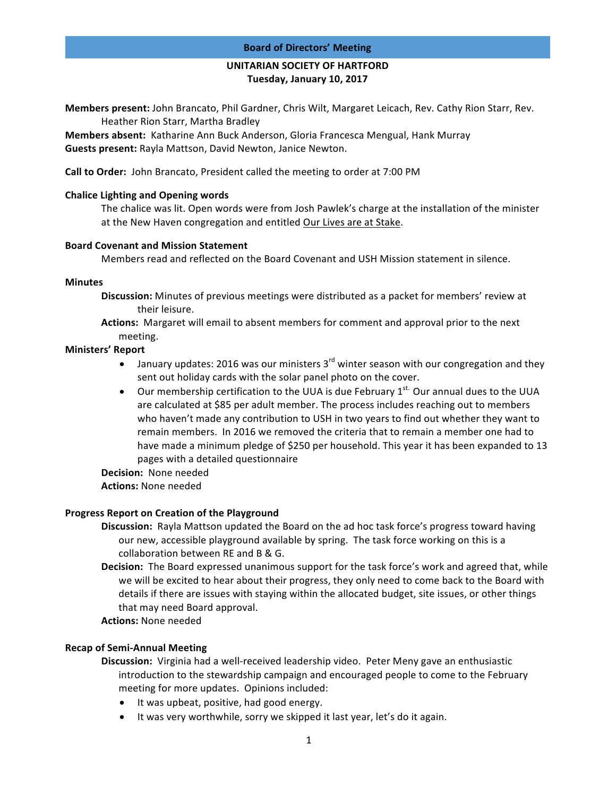#### **Board of Directors' Meeting**

# **UNITARIAN SOCIETY OF HARTFORD Tuesday, January 10, 2017**

**Members present:** John Brancato, Phil Gardner, Chris Wilt, Margaret Leicach, Rev. Cathy Rion Starr, Rev. Heather Rion Starr, Martha Bradley

**Members absent:** Katharine Ann Buck Anderson, Gloria Francesca Mengual, Hank Murray **Guests present:** Rayla Mattson, David Newton, Janice Newton.

**Call to Order:** John Brancato, President called the meeting to order at 7:00 PM

### **Chalice Lighting and Opening words**

The chalice was lit. Open words were from Josh Pawlek's charge at the installation of the minister at the New Haven congregation and entitled Our Lives are at Stake.

#### **Board Covenant and Mission Statement**

Members read and reflected on the Board Covenant and USH Mission statement in silence.

## **Minutes**

- **Discussion:** Minutes of previous meetings were distributed as a packet for members' review at their leisure.
- **Actions:** Margaret will email to absent members for comment and approval prior to the next meeting.

## **Ministers' Report**

- January updates: 2016 was our ministers  $3^{rd}$  winter season with our congregation and they sent out holiday cards with the solar panel photo on the cover.
- Our membership certification to the UUA is due February  $1^{st}$  Our annual dues to the UUA are calculated at \$85 per adult member. The process includes reaching out to members who haven't made any contribution to USH in two years to find out whether they want to remain members. In 2016 we removed the criteria that to remain a member one had to have made a minimum pledge of \$250 per household. This year it has been expanded to 13 pages with a detailed questionnaire
- **Decision:** None needed
- **Actions: None needed**

# **Progress Report on Creation of the Playground**

- **Discussion:** Rayla Mattson updated the Board on the ad hoc task force's progress toward having our new, accessible playground available by spring. The task force working on this is a collaboration between RE and B & G.
- **Decision:** The Board expressed unanimous support for the task force's work and agreed that, while we will be excited to hear about their progress, they only need to come back to the Board with details if there are issues with staying within the allocated budget, site issues, or other things that may need Board approval.
- **Actions:** None needed

# **Recap of Semi-Annual Meeting**

- **Discussion:** Virginia had a well-received leadership video. Peter Meny gave an enthusiastic introduction to the stewardship campaign and encouraged people to come to the February meeting for more updates. Opinions included:
	- It was upbeat, positive, had good energy.
	- It was very worthwhile, sorry we skipped it last year, let's do it again.